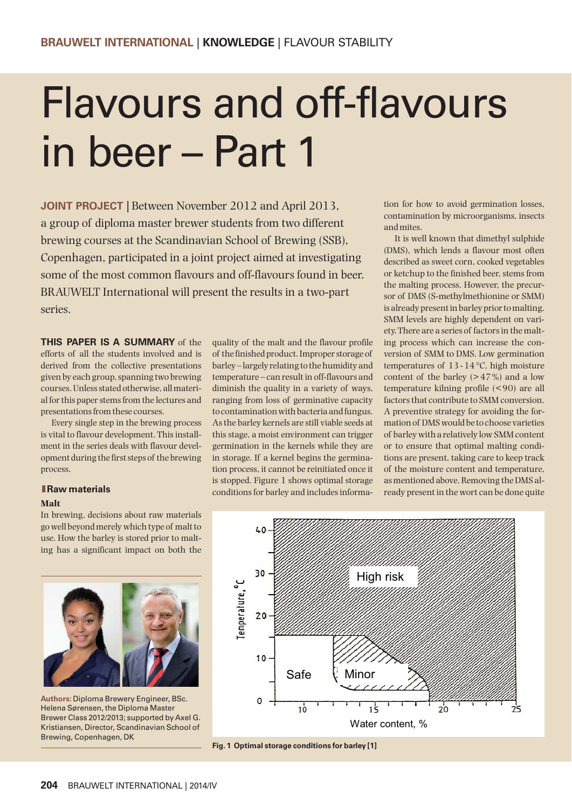# Flavours and off-flavours in beer – Part 1

**JOINT PROJECT** | Between November 2012 and April 2013, a group of diploma master brewer students from two different brewing courses at the Scandinavian School of Brewing (SSB), Copenhagen, participated in a joint project aimed at investigating some of the most common flavours and off-flavours found in beer. BRAUWELT International will present the results in a two-part series.

**THIS PAPER IS A SUMMARY** of the efforts of all the students involved and is derived from the collective presentations given by each group, spanning two brewing courses. Unless stated otherwise, all material for this paper stems from the lectures and presentations from these courses.

Every single step in the brewing process is vital to flavour development. This installment in the series deals with flavour development during the first steps of the brewing process.

#### **lRaw materials**

#### **Malt**

In brewing, decisions about raw materials go well beyond merely which type of malt to use. How the barley is stored prior to malting has a significant impact on both the



**Authors:** Diploma Brewery Engineer, BSc. Helena Sørensen, the Diploma Master Brewer Class 2012/2013; supported by Axel G. Kristiansen, Director, Scandinavian School of Brewing, Copenhagen, DK

quality of the malt and the flavour profile of the finished product. Improper storage of barley – largely relating to the humidity and temperature – can result in off-flavours and diminish the quality in a variety of ways, ranging from loss of germinative capacity to contamination with bacteria and fungus. As the barley kernels are still viable seeds at this stage, a moist environment can trigger germination in the kernels while they are in storage. If a kernel begins the germination process, it cannot be reinitiated once it is stopped. Figure 1 shows optimal storage conditions for barley and includes information for how to avoid germination losses, contamination by microorganisms, insects and mites.

It is well known that dimethyl sulphide (DMS), which lends a flavour most often described as sweet corn, cooked vegetables or ketchup to the finished beer, stems from the malting process. However, the precursor of DMS (S-methylmethionine or SMM) is already present in barley prior to malting. SMM levels are highly dependent on variety. There are a series of factors in the malting process which can increase the conversion of SMM to DMS. Low germination temperatures of  $13 - 14$  °C, high moisture content of the barley  $(> 47\%)$  and a low temperature kilning profile (< 90) are all factors that contribute to SMM conversion. A preventive strategy for avoiding the formation of DMS would be to choose varieties of barley with a relatively low SMM content or to ensure that optimal malting conditions are present, taking care to keep track of the moisture content and temperature, as mentioned above. Removing the DMS already present in the wort can be done quite



**Fig. 1 Optimal storage conditions for barley [1]**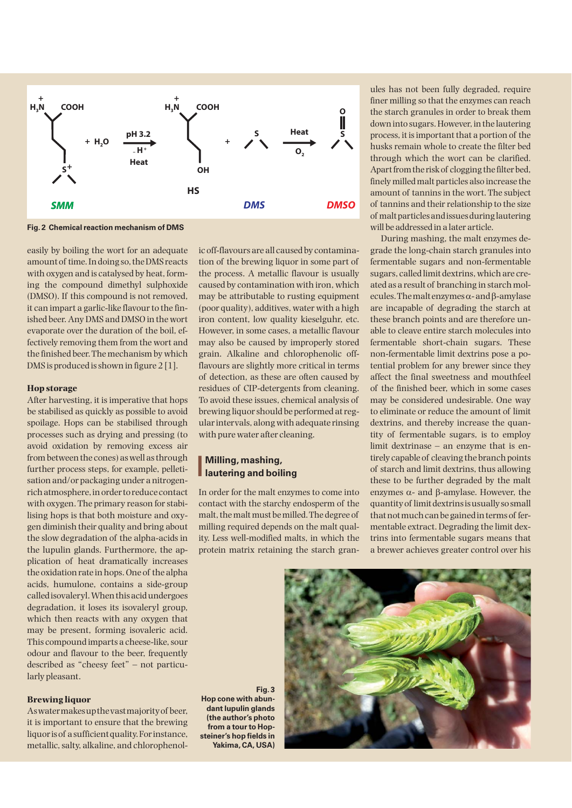

**Fig. 2 Chemical reaction mechanism of DMS**

easily by boiling the wort for an adequate amount of time. In doing so, the DMS reacts with oxygen and is catalysed by heat, forming the compound dimethyl sulphoxide (DMSO). If this compound is not removed, it can impart a garlic-like flavour to the finished beer. Any DMS and DMSO in the wort evaporate over the duration of the boil, effectively removing them from the wort and the finished beer. The mechanism by which DMS is produced is shown in figure 2 [1].

#### **Hop storage**

After harvesting, it is imperative that hops be stabilised as quickly as possible to avoid spoilage. Hops can be stabilised through processes such as drying and pressing (to avoid oxidation by removing excess air from between the cones) as well as through further process steps, for example, pelletisation and/or packaging under a nitrogenrich atmosphere, in order to reduce contact with oxygen. The primary reason for stabilising hops is that both moisture and oxygen diminish their quality and bring about the slow degradation of the alpha-acids in the lupulin glands. Furthermore, the application of heat dramatically increases the oxidation rate in hops. One of the alpha acids, humulone, contains a side-group called isovaleryl. When this acid undergoes degradation, it loses its isovaleryl group, which then reacts with any oxygen that may be present, forming isovaleric acid. This compound imparts a cheese-like, sour odour and flavour to the beer, frequently described as "cheesy feet" – not particularly pleasant.

#### **Brewing liquor**

As water makes up the vast majority of beer, it is important to ensure that the brewing liquor is of a sufficient quality. For instance, metallic, salty, alkaline, and chlorophenolic off-flavours are all caused by contamination of the brewing liquor in some part of the process. A metallic flavour is usually caused by contamination with iron, which may be attributable to rusting equipment (poor quality), additives, water with a high iron content, low quality kieselguhr, etc. However, in some cases, a metallic flavour may also be caused by improperly stored grain. Alkaline and chlorophenolic offflavours are slightly more critical in terms of detection, as these are often caused by residues of CIP-detergents from cleaning. To avoid these issues, chemical analysis of brewing liquor should be performed at regular intervals, along with adequate rinsing with pure water after cleaning.

## **Milling, mashing,<br>autering and boiling Milling, mashing,**

In order for the malt enzymes to come into contact with the starchy endosperm of the malt, the malt must be milled. The degree of milling required depends on the malt quality. Less well-modified malts, in which the protein matrix retaining the starch granules has not been fully degraded, require finer milling so that the enzymes can reach the starch granules in order to break them down into sugars. However, in the lautering process, it is important that a portion of the husks remain whole to create the filter bed through which the wort can be clarified. Apart from the risk of clogging the filter bed, finely milled malt particles also increase the amount of tannins in the wort. The subject of tannins and their relationship to the size of malt particles and issues during lautering will be addressed in a later article.

During mashing, the malt enzymes degrade the long-chain starch granules into fermentable sugars and non-fermentable sugars, called limit dextrins, which are created as a result of branching in starch mol $ecules. The malt enzymes  $\alpha$ - and  $\beta$ -amylase$ are incapable of degrading the starch at these branch points and are therefore unable to cleave entire starch molecules into fermentable short-chain sugars. These non-fermentable limit dextrins pose a potential problem for any brewer since they affect the final sweetness and mouthfeel of the finished beer, which in some cases may be considered undesirable. One way to eliminate or reduce the amount of limit dextrins, and thereby increase the quantity of fermentable sugars, is to employ limit dextrinase – an enzyme that is entirely capable of cleaving the branch points of starch and limit dextrins, thus allowing these to be further degraded by the malt enzymes  $\alpha$ - and  $\beta$ -amylase. However, the quantity of limit dextrins is usually so small that not much can be gained in terms of fermentable extract. Degrading the limit dextrins into fermentable sugars means that a brewer achieves greater control over his

**Fig. 3 Hop cone with abundant lupulin glands (the author's photo from a tour to Hopsteiner's hop fields in Yakima, CA, USA)**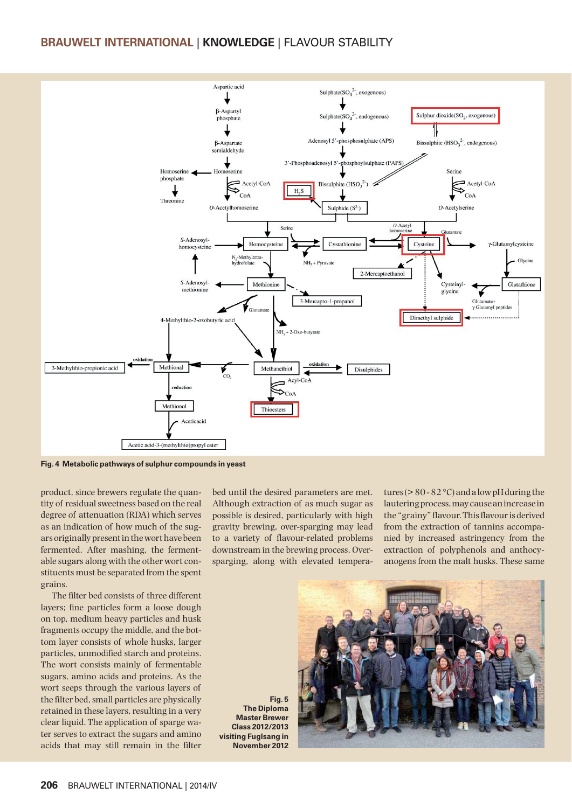### **BRAUWELT INTERNATIONAL** | **KNOWLEDGE** | FLAVOUR STABILITY



**Fig. 4 Metabolic pathways of sulphur compounds in yeast**

product, since brewers regulate the quantity of residual sweetness based on the real degree of attenuation (RDA) which serves as an indication of how much of the sugars originally present in the wort have been fermented. After mashing, the fermentable sugars along with the other wort constituents must be separated from the spent grains.

The filter bed consists of three different layers; fine particles form a loose dough on top, medium heavy particles and husk fragments occupy the middle, and the bottom layer consists of whole husks, larger particles, unmodified starch and proteins. The wort consists mainly of fermentable sugars, amino acids and proteins. As the wort seeps through the various layers of the filter bed, small particles are physically retained in these layers, resulting in a very clear liquid. The application of sparge water serves to extract the sugars and amino acids that may still remain in the filter bed until the desired parameters are met. Although extraction of as much sugar as possible is desired, particularly with high gravity brewing, over-sparging may lead to a variety of flavour-related problems downstream in the brewing process. Oversparging, along with elevated temperatures ( $> 80 - 82$  °C) and a low pH during the lautering process, may cause an increase in the "grainy" flavour. This flavour is derived from the extraction of tannins accompanied by increased astringency from the extraction of polyphenols and anthocyanogens from the malt husks. These same

**Fig. 5 The Diploma Master Brewer Class 2012/2013 visiting Fuglsang in November 2012**